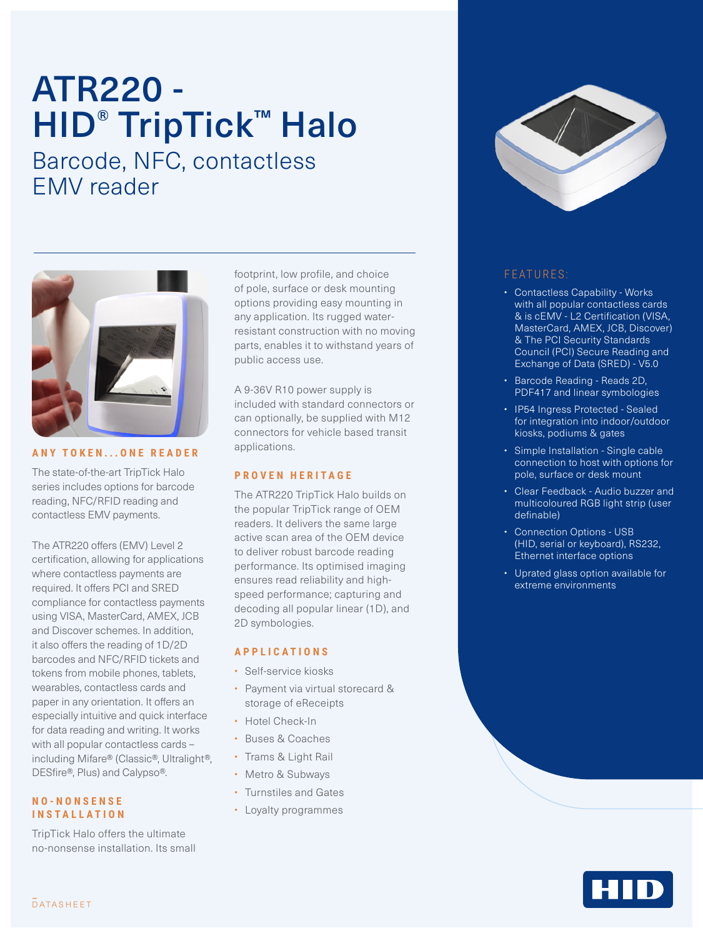# ATR220 - HID<sup>®</sup> TripTick™ Halo Barcode, NFC, contactless EMV reader



#### **ANY TOKEN...ONE READER**

The state-of-the-art TripTick Halo series includes options for barcode reading, NFC/RFID reading and contactless EMV payments.

The ATR220 offers (EMV) Level 2 certification, allowing for applications where contactless payments are required. It offers PCI and SRED compliance for contactless payments using VISA, MasterCard, AMEX, JCB and Discover schemes. In addition, it also offers the reading of 1D/2D barcodes and NFC/RFID tickets and tokens from mobile phones, tablets, wearables, contactless cards and paper in any orientation. It offers an especially intuitive and quick interface for data reading and writing. It works with all popular contactless cards including Mifare® (Classic®, Ultralight®, DESfire®, Plus) and Calypso®.

#### **N O - N O N S E N S E INSTALLATION**

TripTick Halo offers the ultimate no-nonsense installation. Its small footprint, low profile, and choice of pole, surface or desk mounting options providing easy mounting in any application. Its rugged waterresistant construction with no moving parts, enables it to withstand years of public access use.

A 9-36V R10 power supply is included with standard connectors or can optionally, be supplied with M12 connectors for vehicle based transit applications.

#### **PROVEN HERITAGE**

The ATR220 TripTick Halo builds on the popular TripTick range of OEM readers. It delivers the same large active scan area of the OEM device to deliver robust barcode reading performance. Its optimised imaging ensures read reliability and highspeed performance; capturing and decoding all popular linear (1D), and 2D symbologies.

#### **APPLICATIONS**

- Self-service kiosks
- Payment via virtual storecard & storage of eReceipts
- Hotel Check-In
- Buses & Coaches
- Trams & Light Rail
- Metro & Subways
- Turnstiles and Gates
- Loyalty programmes



### FEATURES:

- Contactless Capability Works with all popular contactless cards & is cEMV - L2 Certification (VISA, MasterCard, AMEX, JCB, Discover) & The PCI Security Standards Council (PCI) Secure Reading and Exchange of Data (SRED) - V5.0
- Barcode Reading Reads 2D, PDF417 and linear symbologies
- IP54 Ingress Protected Sealed for integration into indoor/outdoor kiosks, podiums & gates
- Simple Installation Single cable connection to host with options for pole, surface or desk mount
- Clear Feedback Audio buzzer and multicoloured RGB light strip (user definable)
- Connection Options USB (HID, serial or keyboard), RS232, Ethernet interface options
- Uprated glass option available for extreme environments